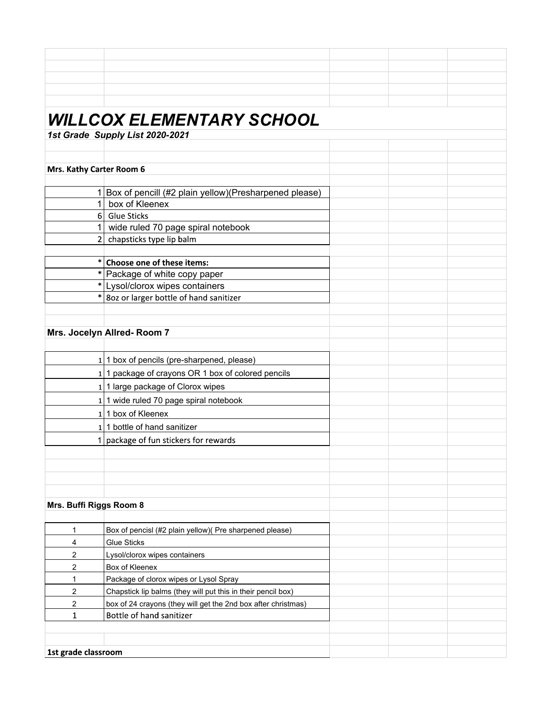| <i>WILLCOX ELEMENTARY SCHOOL</i> |                                                               |  |  |  |  |  |
|----------------------------------|---------------------------------------------------------------|--|--|--|--|--|
|                                  | 1st Grade Supply List 2020-2021                               |  |  |  |  |  |
|                                  |                                                               |  |  |  |  |  |
|                                  |                                                               |  |  |  |  |  |
| Mrs. Kathy Carter Room 6         |                                                               |  |  |  |  |  |
|                                  | 1 Box of pencill (#2 plain yellow) (Presharpened please)      |  |  |  |  |  |
| 1                                | box of Kleenex                                                |  |  |  |  |  |
|                                  | 6 Glue Sticks                                                 |  |  |  |  |  |
|                                  | wide ruled 70 page spiral notebook                            |  |  |  |  |  |
|                                  | 2 chapsticks type lip balm                                    |  |  |  |  |  |
|                                  |                                                               |  |  |  |  |  |
| $\ast$                           | Choose one of these items:                                    |  |  |  |  |  |
| *                                | Package of white copy paper                                   |  |  |  |  |  |
| $\ast$                           | Lysol/clorox wipes containers                                 |  |  |  |  |  |
| $\ast$                           | 8oz or larger bottle of hand sanitizer                        |  |  |  |  |  |
|                                  |                                                               |  |  |  |  |  |
|                                  |                                                               |  |  |  |  |  |
|                                  | Mrs. Jocelyn Allred-Room 7                                    |  |  |  |  |  |
|                                  |                                                               |  |  |  |  |  |
|                                  | 1 1 box of pencils (pre-sharpened, please)                    |  |  |  |  |  |
|                                  | 1 1 package of crayons OR 1 box of colored pencils            |  |  |  |  |  |
|                                  | $1$ 1 large package of Clorox wipes                           |  |  |  |  |  |
|                                  | 1 1 wide ruled 70 page spiral notebook                        |  |  |  |  |  |
|                                  | 1 1 box of Kleenex                                            |  |  |  |  |  |
|                                  | 1 1 bottle of hand sanitizer                                  |  |  |  |  |  |
|                                  | 1   package of fun stickers for rewards                       |  |  |  |  |  |
|                                  |                                                               |  |  |  |  |  |
|                                  |                                                               |  |  |  |  |  |
|                                  |                                                               |  |  |  |  |  |
|                                  |                                                               |  |  |  |  |  |
| Mrs. Buffi Riggs Room 8          |                                                               |  |  |  |  |  |
|                                  |                                                               |  |  |  |  |  |
| 1                                | Box of pencisl (#2 plain yellow)( Pre sharpened please)       |  |  |  |  |  |
| $\overline{4}$                   | <b>Glue Sticks</b>                                            |  |  |  |  |  |
| 2                                | Lysol/clorox wipes containers                                 |  |  |  |  |  |
| $\overline{2}$                   | Box of Kleenex                                                |  |  |  |  |  |
| 1                                | Package of clorox wipes or Lysol Spray                        |  |  |  |  |  |
| 2                                | Chapstick lip balms (they will put this in their pencil box)  |  |  |  |  |  |
| 2                                | box of 24 crayons (they will get the 2nd box after christmas) |  |  |  |  |  |
| $\mathbf{1}$                     | Bottle of hand sanitizer                                      |  |  |  |  |  |
|                                  |                                                               |  |  |  |  |  |
|                                  |                                                               |  |  |  |  |  |
| 1st grade classroom              |                                                               |  |  |  |  |  |